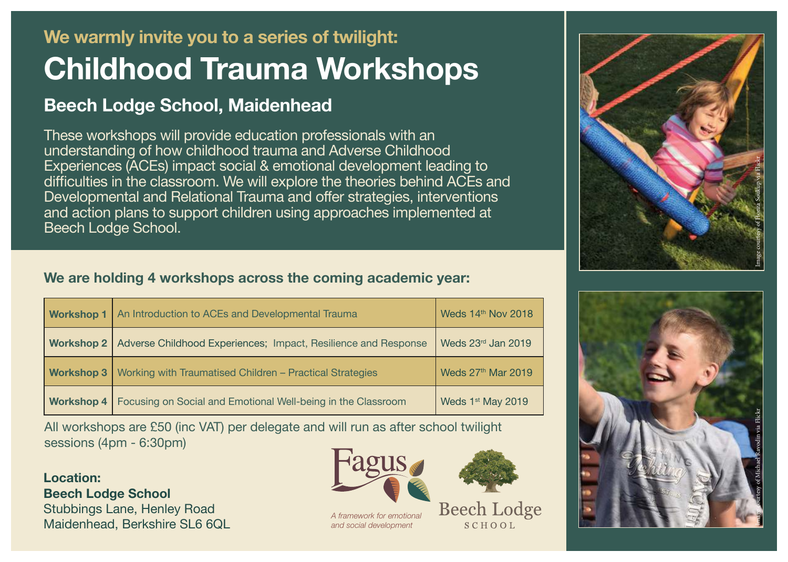# **We warmly invite you to a series of twilight: Childhood Trauma Workshops**

# **Beech Lodge School, Maidenhead**

These workshops will provide education professionals with an understanding of how childhood trauma and Adverse Childhood Experiences (ACEs) impact social & emotional development leading to difficulties in the classroom. We will explore the theories behind ACEs and Developmental and Relational Trauma and offer strategies, interventions and action plans to support children using approaches implemented at Beech Lodge School.

## **We are holding 4 workshops across the coming academic year:**

| <b>Workshop 1</b> | An Introduction to ACEs and Developmental Trauma               | Weds 14th Nov 2018             |
|-------------------|----------------------------------------------------------------|--------------------------------|
| <b>Workshop 2</b> | Adverse Childhood Experiences; Impact, Resilience and Response | Weds 23rd Jan 2019             |
| <b>Workshop 3</b> | Working with Traumatised Children - Practical Strategies       | Weds 27 <sup>th</sup> Mar 2019 |
| <b>Workshop 4</b> | Focusing on Social and Emotional Well-being in the Classroom   | Weds 1 <sup>st</sup> May 2019  |

All workshops are £50 (inc VAT) per delegate and will run as after school twilight sessions (4pm - 6:30pm)

**Location: Beech Lodge School** Stubbings Lane, Henley Road Maidenhead, Berkshire SL6 6QL



*A framework for emotional and social development*

**Beech Lodge**  $SCHOOL$